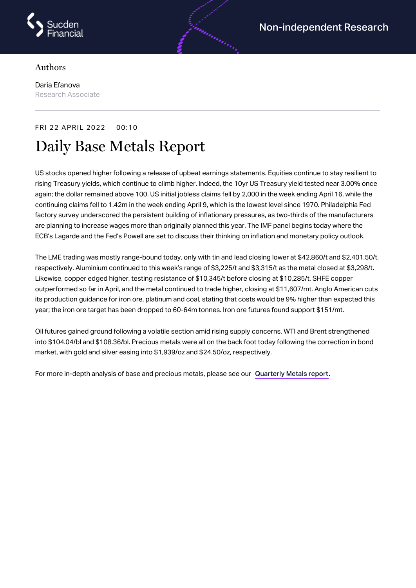

## Authors

Daria Efanova Research Associate

## FRI 22 APRIL 2022 00:10

## Daily Base Metals Report

US stocks opened higher following a release of upbeat earnings statements. Equities continue to stay resilient to rising Treasury yields, which continue to climb higher. Indeed, the 10yr US Treasury yield tested near 3.00% once again; the dollar remained above 100. US initial jobless claims fell by 2,000 in the week ending April 16, while the continuing claims fell to 1.42m in the week ending April 9, which is the lowest level since 1970. Philadelphia Fed factory survey underscored the persistent building of inflationary pressures, as two-thirds of the manufacturers are planning to increase wages more than originally planned this year. The IMF panel begins today where the ECB's Lagarde and the Fed's Powell are set to discuss their thinking on inflation and monetary policy outlook.

androning

The LME trading was mostly range-bound today, only with tin and lead closing lower at \$42,860/t and \$2,401.50/t, respectively. Aluminium continued to this week's range of \$3,225/t and \$3,315/t as the metal closed at \$3,298/t. Likewise, copper edged higher, testing resistance of \$10,345/t before closing at \$10,285/t. SHFE copper outperformed so far in April, and the metal continued to trade higher, closing at \$11,607/mt. Anglo American cuts its production guidance for iron ore, platinum and coal, stating that costs would be 9% higher than expected this year; the iron ore target has been dropped to 60-64m tonnes. Iron ore futures found support \$151/mt.

Oil futures gained ground following a volatile section amid rising supply concerns. WTI and Brent strengthened into \$104.04/bl and \$108.36/bl. Precious metals were all on the back foot today following the correction in bond market, with gold and silver easing into \$1,939/oz and \$24.50/oz, respectively.

For more in-depth analysis of base and precious metals, please see our [Quarterly](https://www.sucdenfinancial.com/en/reports/quarterly-metals/qmr-q1-2022/) Metals report.